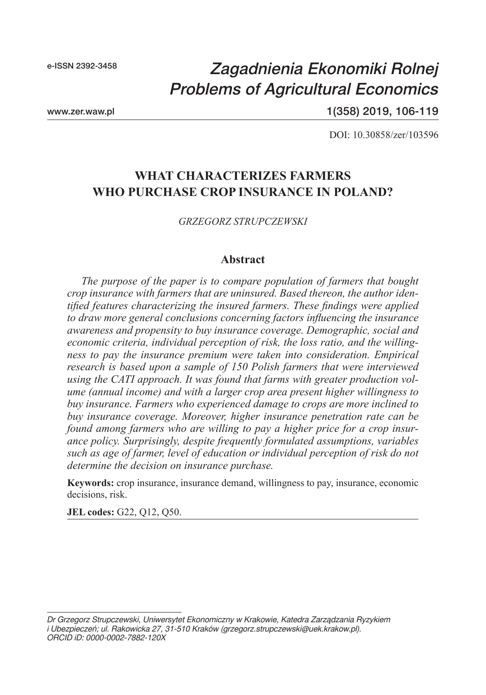# *Zagadnienia Ekonomiki Rolnej Problems of Agricultural Economics*

www.zer.waw.pl

1(358) 2019, 106-119

DOI: 10.30858/zer/103596

# **WHAT CHARACTERIZES FARMERS WHO PURCHASE CROP INSURANCE IN POLAND?**

*GRZEGORZ STRUPCZEWSKI*

#### **Abstract**

*The purpose of the paper is to compare population of farmers that bought crop insurance with farmers that are uninsured. Based thereon, the author identified features characterizing the insured farmers. These findings were applied to draw more general conclusions concerning factors influencing the insurance awareness and propensity to buy insurance coverage. Demographic, social and economic criteria, individual perception of risk, the loss ratio, and the willingness to pay the insurance premium were taken into consideration. Empirical research is based upon a sample of 150 Polish farmers that were interviewed using the CATI approach. It was found that farms with greater production volume (annual income) and with a larger crop area present higher willingness to buy insurance. Farmers who experienced damage to crops are more inclined to buy insurance coverage. Moreover, higher insurance penetration rate can be found among farmers who are willing to pay a higher price for a crop insurance policy. Surprisingly, despite frequently formulated assumptions, variables such as age of farmer, level of education or individual perception of risk do not determine the decision on insurance purchase.*

**Keywords:** crop insurance, insurance demand, willingness to pay, insurance, economic decisions, risk.

**JEL codes:** G22, Q12, Q50.

*Dr Grzegorz Strupczewski, Uniwersytet Ekonomiczny w Krakowie, Katedra Zarządzania Ryzykiem i Ubezpieczeń; ul. Rakowicka 27, 31-510 Kraków (grzegorz.strupczewski@uek.krakow.pl). ORCID iD: 0000-0002-7882-120X*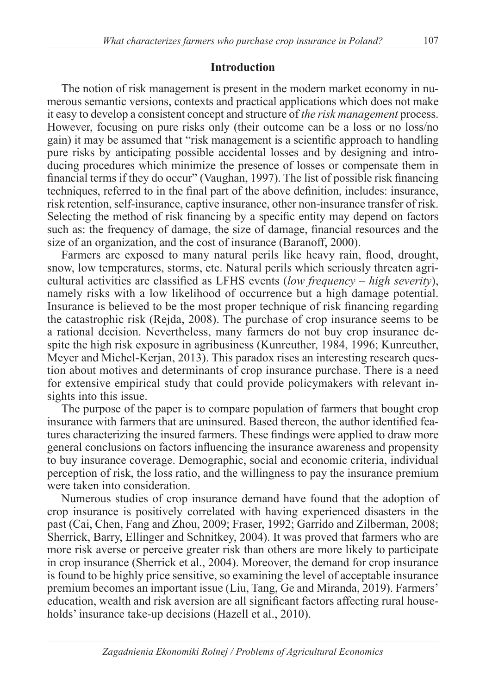## **Introduction**

The notion of risk management is present in the modern market economy in numerous semantic versions, contexts and practical applications which does not make it easy to develop a consistent concept and structure of *the risk management* process. However, focusing on pure risks only (their outcome can be a loss or no loss/no gain) it may be assumed that "risk management is a scientific approach to handling pure risks by anticipating possible accidental losses and by designing and introducing procedures which minimize the presence of losses or compensate them in financial terms if they do occur" (Vaughan, 1997). The list of possible risk financing techniques, referred to in the final part of the above definition, includes: insurance, risk retention, self-insurance, captive insurance, other non-insurance transfer of risk. Selecting the method of risk financing by a specific entity may depend on factors such as: the frequency of damage, the size of damage, financial resources and the size of an organization, and the cost of insurance (Baranoff, 2000).

Farmers are exposed to many natural perils like heavy rain, flood, drought, snow, low temperatures, storms, etc. Natural perils which seriously threaten agricultural activities are classified as LFHS events (*low frequency – high severity*), namely risks with a low likelihood of occurrence but a high damage potential. Insurance is believed to be the most proper technique of risk financing regarding the catastrophic risk (Rejda, 2008). The purchase of crop insurance seems to be a rational decision. Nevertheless, many farmers do not buy crop insurance despite the high risk exposure in agribusiness (Kunreuther, 1984, 1996; Kunreuther, Meyer and Michel-Kerjan, 2013). This paradox rises an interesting research question about motives and determinants of crop insurance purchase. There is a need for extensive empirical study that could provide policymakers with relevant insights into this issue.

The purpose of the paper is to compare population of farmers that bought crop insurance with farmers that are uninsured. Based thereon, the author identified features characterizing the insured farmers. These findings were applied to draw more general conclusions on factors influencing the insurance awareness and propensity to buy insurance coverage. Demographic, social and economic criteria, individual perception of risk, the loss ratio, and the willingness to pay the insurance premium were taken into consideration.

Numerous studies of crop insurance demand have found that the adoption of crop insurance is positively correlated with having experienced disasters in the past (Cai, Chen, Fang and Zhou, 2009; Fraser, 1992; Garrido and Zilberman, 2008; Sherrick, Barry, Ellinger and Schnitkey, 2004). It was proved that farmers who are more risk averse or perceive greater risk than others are more likely to participate in crop insurance (Sherrick et al., 2004). Moreover, the demand for crop insurance is found to be highly price sensitive, so examining the level of acceptable insurance premium becomes an important issue (Liu, Tang, Ge and Miranda, 2019). Farmers' education, wealth and risk aversion are all significant factors affecting rural households' insurance take-up decisions (Hazell et al., 2010).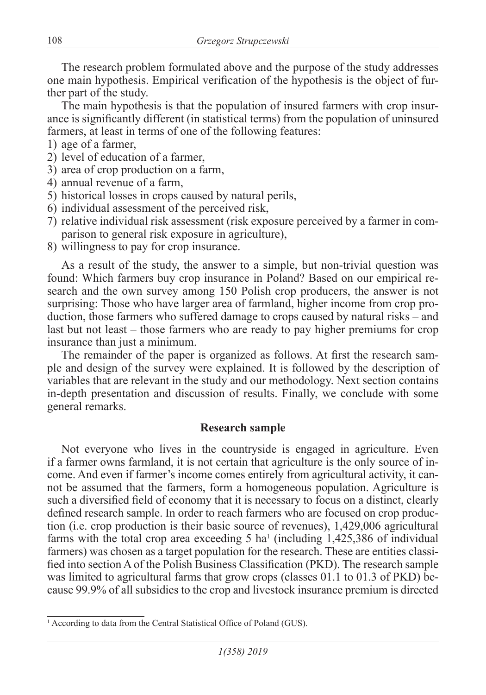The research problem formulated above and the purpose of the study addresses one main hypothesis. Empirical verification of the hypothesis is the object of further part of the study.

The main hypothesis is that the population of insured farmers with crop insurance is significantly different (in statistical terms) from the population of uninsured farmers, at least in terms of one of the following features:

- 1) age of a farmer,
- 2) level of education of a farmer,
- 3) area of crop production on a farm,
- 4) annual revenue of a farm,
- 5) historical losses in crops caused by natural perils,
- 6) individual assessment of the perceived risk,
- 7) relative individual risk assessment (risk exposure perceived by a farmer in comparison to general risk exposure in agriculture),
- 8) willingness to pay for crop insurance.

As a result of the study, the answer to a simple, but non-trivial question was found: Which farmers buy crop insurance in Poland? Based on our empirical research and the own survey among 150 Polish crop producers, the answer is not surprising: Those who have larger area of farmland, higher income from crop production, those farmers who suffered damage to crops caused by natural risks – and last but not least – those farmers who are ready to pay higher premiums for crop insurance than just a minimum.

The remainder of the paper is organized as follows. At first the research sample and design of the survey were explained. It is followed by the description of variables that are relevant in the study and our methodology. Next section contains in-depth presentation and discussion of results. Finally, we conclude with some general remarks.

# **Research sample**

Not everyone who lives in the countryside is engaged in agriculture. Even if a farmer owns farmland, it is not certain that agriculture is the only source of income. And even if farmer's income comes entirely from agricultural activity, it cannot be assumed that the farmers, form a homogeneous population. Agriculture is such a diversified field of economy that it is necessary to focus on a distinct, clearly defined research sample. In order to reach farmers who are focused on crop production (i.e. crop production is their basic source of revenues), 1,429,006 agricultural farms with the total crop area exceeding  $5$  ha<sup>1</sup> (including 1,425,386 of individual farmers) was chosen as a target population for the research. These are entities classified into section A of the Polish Business Classification (PKD). The research sample was limited to agricultural farms that grow crops (classes 01.1 to 01.3 of PKD) because 99.9% of all subsidies to the crop and livestock insurance premium is directed

<sup>&</sup>lt;sup>1</sup> According to data from the Central Statistical Office of Poland (GUS).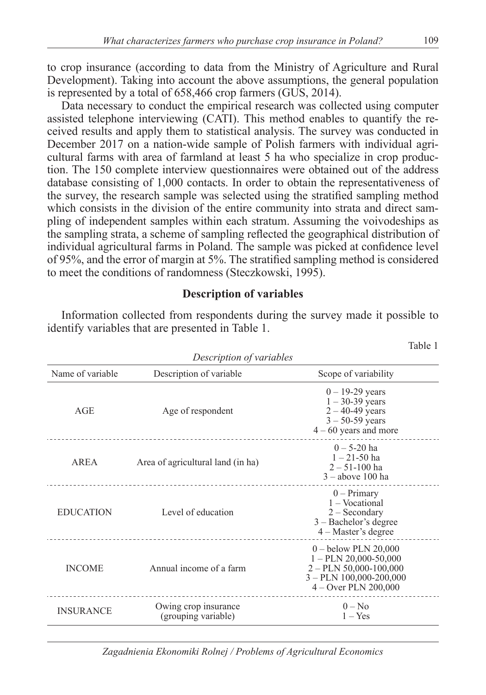to crop insurance (according to data from the Ministry of Agriculture and Rural Development). Taking into account the above assumptions, the general population is represented by a total of 658,466 crop farmers (GUS, 2014).

Data necessary to conduct the empirical research was collected using computer assisted telephone interviewing (CATI). This method enables to quantify the received results and apply them to statistical analysis. The survey was conducted in December 2017 on a nation-wide sample of Polish farmers with individual agricultural farms with area of farmland at least 5 ha who specialize in crop production. The 150 complete interview questionnaires were obtained out of the address database consisting of 1,000 contacts. In order to obtain the representativeness of the survey, the research sample was selected using the stratified sampling method which consists in the division of the entire community into strata and direct sampling of independent samples within each stratum. Assuming the voivodeships as the sampling strata, a scheme of sampling reflected the geographical distribution of individual agricultural farms in Poland. The sample was picked at confidence level of 95%, and the error of margin at 5%. The stratified sampling method is considered to meet the conditions of randomness (Steczkowski, 1995).

#### **Description of variables**

Information collected from respondents during the survey made it possible to identify variables that are presented in Table 1.

| Description of variables                 |                                             |                                                                                                                                      |  |  |  |
|------------------------------------------|---------------------------------------------|--------------------------------------------------------------------------------------------------------------------------------------|--|--|--|
| Name of variable                         | Description of variable                     | Scope of variability                                                                                                                 |  |  |  |
| AGE                                      | Age of respondent                           | $0 - 19 - 29$ years<br>$1 - 30 - 39$ years<br>$2 - 40 - 49$ years<br>$3 - 50 - 59$ years<br>$4 - 60$ years and more                  |  |  |  |
| AREA                                     | Area of agricultural land (in ha)           | $0 - 5 - 20$ ha<br>$1 - 21 - 50$ ha<br>$2 - 51 - 100$ ha<br>$3 - above$ 100 ha                                                       |  |  |  |
| Level of education<br><b>EDUCATION</b>   |                                             | $0$ – Primary<br>1 – Vocational<br>$2 -$ Secondary<br>$3 -$ Bachelor's degree<br>$4 - Master's degree$                               |  |  |  |
| Annual income of a farm<br><b>INCOME</b> |                                             | $0 -$ below PLN 20,000<br>$1 - PLN$ 20,000-50,000<br>$2 - PLN$ 50,000-100,000<br>$3 - PLN$ 100,000-200,000<br>$4 -$ Over PLN 200,000 |  |  |  |
| <b>INSURANCE</b>                         | Owing crop insurance<br>(grouping variable) | $0 - No$<br>$1 - Yes$                                                                                                                |  |  |  |

*Zagadnienia Ekonomiki Rolnej / Problems of Agricultural Economics*

Table 1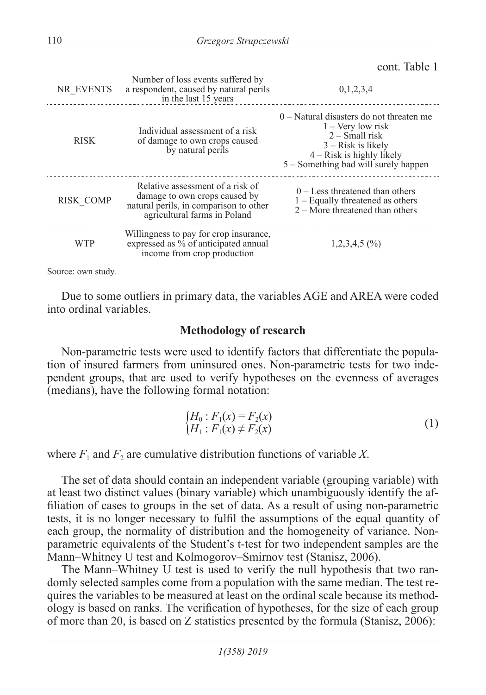cont. Table 1

| NR EVENTS   | Number of loss events suffered by<br>a respondent, caused by natural perils<br>in the last 15 years                                         | 0,1,2,3,4                                                                                                                                                                            |  |
|-------------|---------------------------------------------------------------------------------------------------------------------------------------------|--------------------------------------------------------------------------------------------------------------------------------------------------------------------------------------|--|
| <b>RISK</b> | Individual assessment of a risk<br>of damage to own crops caused<br>by natural perils                                                       | $0$ – Natural disasters do not threaten me<br>$1 -$ Very low risk<br>$2 - Small risk$<br>$3 - Risk$ is likely<br>$4 - Risk$ is highly likely<br>5 – Something bad will surely happen |  |
| RISK COMP   | Relative assessment of a risk of<br>damage to own crops caused by<br>natural perils, in comparison to other<br>agricultural farms in Poland | $0 -$ Less threatened than others<br>$1 -$ Equally threatened as others<br>$2 -$ More threatened than others                                                                         |  |
| WTP         | Willingness to pay for crop insurance,<br>expressed as % of anticipated annual<br>income from crop production                               | $1,2,3,4,5$ (%)                                                                                                                                                                      |  |

Source: own study.

Due to some outliers in primary data, the variables AGE and AREA were coded into ordinal variables.

#### **Methodology of research**

Non-parametric tests were used to identify factors that differentiate the population of insured farmers from uninsured ones. Non-parametric tests for two independent groups, that are used to verify hypotheses on the evenness of averages (medians), have the following formal notation:

$$
\begin{cases}\nH_0: F_1(x) = F_2(x) \\
H_1: F_1(x) \neq F_2(x)\n\end{cases} (1)
$$

where  $F_1$  and  $F_2$  are cumulative distribution functions of variable X.

The set of data should contain an independent variable (grouping variable) with at least two distinct values (binary variable) which unambiguously identify the affiliation of cases to groups in the set of data. As a result of using non-parametric tests, it is no longer necessary to fulfil the assumptions of the equal quantity of each group, the normality of distribution and the homogeneity of variance. Nonparametric equivalents of the Student's t-test for two independent samples are the Mann–Whitney U test and Kolmogorov–Smirnov test (Stanisz, 2006).

The Mann–Whitney U test is used to verify the null hypothesis that two randomly selected samples come from a population with the same median. The test requires the variables to be measured at least on the ordinal scale because its methodology is based on ranks. The verification of hypotheses, for the size of each group of more than 20, is based on Z statistics presented by the formula (Stanisz, 2006):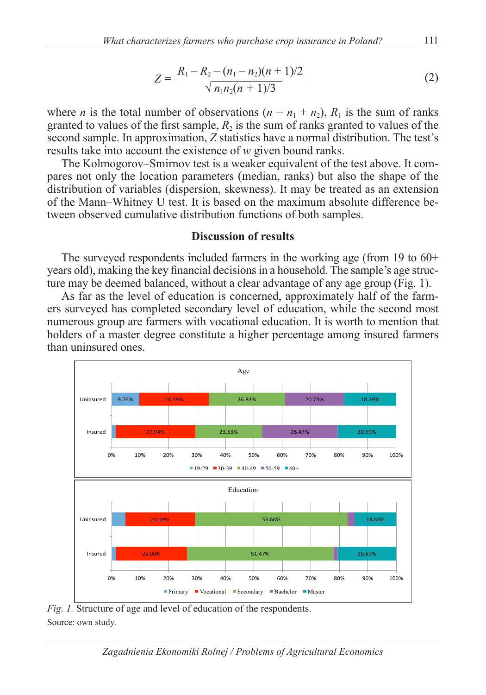$$
Z = \frac{R_1 - R_2 - (n_1 - n_2)(n_1 + 1)/2}{\sqrt{n_1 n_2 (n_1 + 1)/3}}
$$
(2)

where *n* is the total number of observations ( $n = n_1 + n_2$ ),  $R_1$  is the sum of ranks granted to values of the first sample,  $R_2$  is the sum of ranks granted to values of the second sample. In approximation, *Z* statistics have a normal distribution. The test's results take into account the existence of *w* given bound ranks.

The Kolmogorov–Smirnov test is a weaker equivalent of the test above. It compares not only the location parameters (median, ranks) but also the shape of the distribution of variables (dispersion, skewness). It may be treated as an extension of the Mann–Whitney U test. It is based on the maximum absolute difference between observed cumulative distribution functions of both samples.

#### **Discussion of results**

The surveyed respondents included farmers in the working age (from 19 to 60+ years old), making the key financial decisions in a household. The sample's age structure may be deemed balanced, without a clear advantage of any age group (Fig. 1).

As far as the level of education is concerned, approximately half of the farmers surveyed has completed secondary level of education, while the second most numerous group are farmers with vocational education. It is worth to mention that holders of a master degree constitute a higher percentage among insured farmers than uninsured ones.



*Fig. 1.* Structure of age and level of education of the respondents. Source: own study.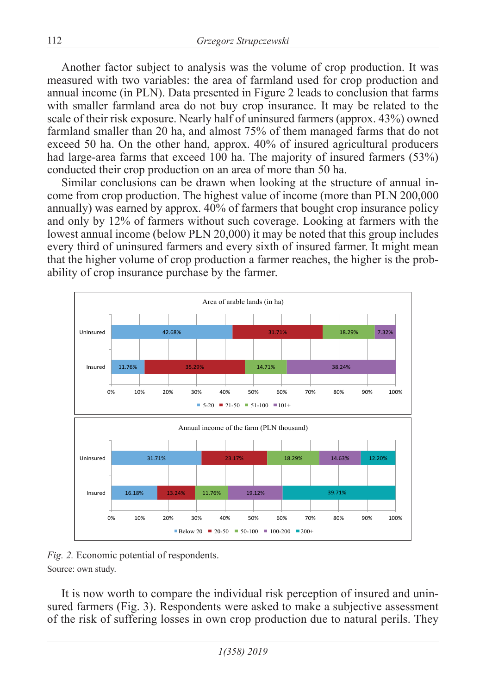Another factor subject to analysis was the volume of crop production. It was measured with two variables: the area of farmland used for crop production and annual income (in PLN). Data presented in Figure 2 leads to conclusion that farms with smaller farmland area do not buy crop insurance. It may be related to the scale of their risk exposure. Nearly half of uninsured farmers (approx. 43%) owned farmland smaller than 20 ha, and almost 75% of them managed farms that do not exceed 50 ha. On the other hand, approx. 40% of insured agricultural producers had large-area farms that exceed 100 ha. The majority of insured farmers (53%) conducted their crop production on an area of more than 50 ha.

Similar conclusions can be drawn when looking at the structure of annual income from crop production. The highest value of income (more than PLN 200,000 annually) was earned by approx. 40% of farmers that bought crop insurance policy and only by 12% of farmers without such coverage. Looking at farmers with the lowest annual income (below PLN 20,000) it may be noted that this group includes every third of uninsured farmers and every sixth of insured farmer. It might mean that the higher volume of crop production a farmer reaches, the higher is the probability of crop insurance purchase by the farmer.



*Fig. 2.* Economic potential of respondents. Source: own study.

It is now worth to compare the individual risk perception of insured and uninsured farmers (Fig. 3). Respondents were asked to make a subjective assessment of the risk of suffering losses in own crop production due to natural perils. They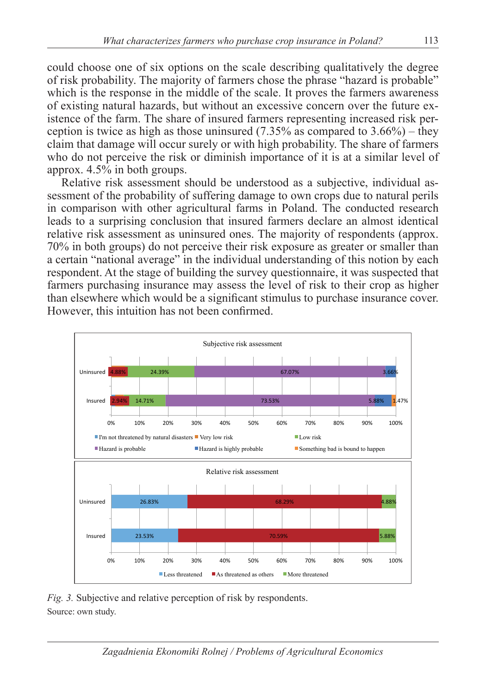could choose one of six options on the scale describing qualitatively the degree of risk probability. The majority of farmers chose the phrase "hazard is probable" which is the response in the middle of the scale. It proves the farmers awareness of existing natural hazards, but without an excessive concern over the future existence of the farm. The share of insured farmers representing increased risk perception is twice as high as those uninsured  $(7.35\%$  as compared to  $3.66\%)$  – they claim that damage will occur surely or with high probability. The share of farmers who do not perceive the risk or diminish importance of it is at a similar level of approx. 4.5% in both groups.

Relative risk assessment should be understood as a subjective, individual assessment of the probability of suffering damage to own crops due to natural perils in comparison with other agricultural farms in Poland. The conducted research leads to a surprising conclusion that insured farmers declare an almost identical relative risk assessment as uninsured ones. The majority of respondents (approx. 70% in both groups) do not perceive their risk exposure as greater or smaller than a certain "national average" in the individual understanding of this notion by each respondent. At the stage of building the survey questionnaire, it was suspected that farmers purchasing insurance may assess the level of risk to their crop as higher than elsewhere which would be a significant stimulus to purchase insurance cover. However, this intuition has not been confirmed.



*Fig. 3.* Subjective and relative perception of risk by respondents. Source: own study.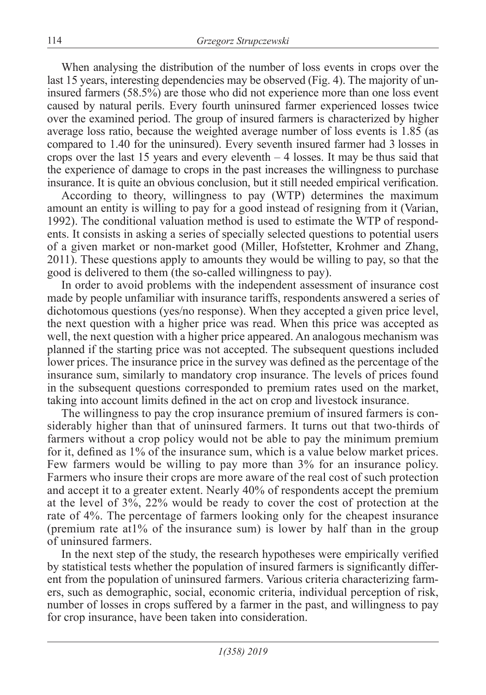When analysing the distribution of the number of loss events in crops over the last 15 years, interesting dependencies may be observed (Fig. 4). The majority of uninsured farmers (58.5%) are those who did not experience more than one loss event caused by natural perils. Every fourth uninsured farmer experienced losses twice over the examined period. The group of insured farmers is characterized by higher average loss ratio, because the weighted average number of loss events is 1.85 (as compared to 1.40 for the uninsured). Every seventh insured farmer had 3 losses in crops over the last 15 years and every eleventh  $-4$  losses. It may be thus said that the experience of damage to crops in the past increases the willingness to purchase insurance. It is quite an obvious conclusion, but it still needed empirical verification.

According to theory, willingness to pay (WTP) determines the maximum amount an entity is willing to pay for a good instead of resigning from it (Varian, 1992). The conditional valuation method is used to estimate the WTP of respondents. It consists in asking a series of specially selected questions to potential users of a given market or non-market good (Miller, Hofstetter, Krohmer and Zhang, 2011). These questions apply to amounts they would be willing to pay, so that the good is delivered to them (the so-called willingness to pay).

In order to avoid problems with the independent assessment of insurance cost made by people unfamiliar with insurance tariffs, respondents answered a series of dichotomous questions (yes/no response). When they accepted a given price level, the next question with a higher price was read. When this price was accepted as well, the next question with a higher price appeared. An analogous mechanism was planned if the starting price was not accepted. The subsequent questions included lower prices. The insurance price in the survey was defined as the percentage of the insurance sum, similarly to mandatory crop insurance. The levels of prices found in the subsequent questions corresponded to premium rates used on the market, taking into account limits defined in the act on crop and livestock insurance.

The willingness to pay the crop insurance premium of insured farmers is considerably higher than that of uninsured farmers. It turns out that two-thirds of farmers without a crop policy would not be able to pay the minimum premium for it, defined as 1% of the insurance sum, which is a value below market prices. Few farmers would be willing to pay more than 3% for an insurance policy. Farmers who insure their crops are more aware of the real cost of such protection and accept it to a greater extent. Nearly 40% of respondents accept the premium at the level of 3%, 22% would be ready to cover the cost of protection at the rate of 4%. The percentage of farmers looking only for the cheapest insurance (premium rate at1% of the insurance sum) is lower by half than in the group of uninsured farmers.

In the next step of the study, the research hypotheses were empirically verified by statistical tests whether the population of insured farmers is significantly different from the population of uninsured farmers. Various criteria characterizing farmers, such as demographic, social, economic criteria, individual perception of risk, number of losses in crops suffered by a farmer in the past, and willingness to pay for crop insurance, have been taken into consideration.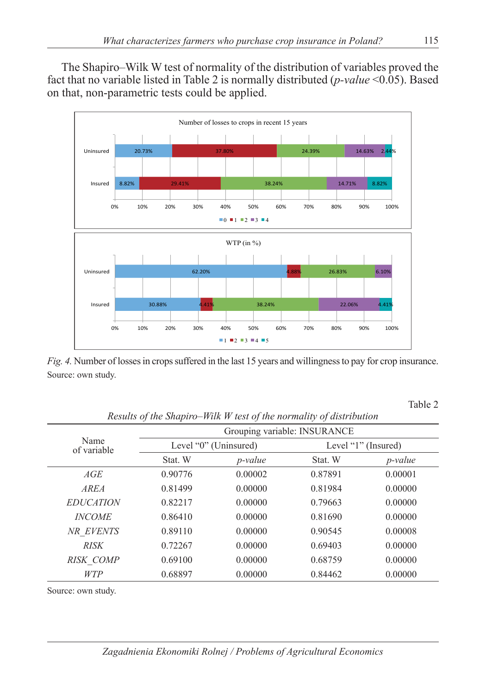The Shapiro–Wilk W test of normality of the distribution of variables proved the fact that no variable listed in Table 2 is normally distributed (*p-value* <0.05). Based on that, non-parametric tests could be applied.



*Fig. 4.* Number of losses in crops suffered in the last 15 years and willingness to pay for crop insurance. Source: own study.

Table 2

| Results of the shaptro-making these of the normality of also toution |                              |                 |                     |            |  |  |  |
|----------------------------------------------------------------------|------------------------------|-----------------|---------------------|------------|--|--|--|
|                                                                      | Grouping variable: INSURANCE |                 |                     |            |  |  |  |
| Name<br>of variable                                                  | Level "0" (Uninsured)        |                 | Level "1" (Insured) |            |  |  |  |
|                                                                      | Stat. W                      | <i>p</i> -value | Stat. W             | $p$ -value |  |  |  |
| AGE                                                                  | 0.90776                      | 0.00002         | 0.87891             | 0.00001    |  |  |  |
| <i>AREA</i>                                                          | 0.81499                      | 0.00000         | 0.81984             | 0.00000    |  |  |  |
| <b>EDUCATION</b>                                                     | 0.82217                      | 0.00000         | 0.79663             | 0.00000    |  |  |  |
| <b>INCOME</b>                                                        | 0.86410                      | 0.00000         | 0.81690             | 0.00000    |  |  |  |
| NR EVENTS                                                            | 0.89110                      | 0.00000         | 0.90545             | 0.00008    |  |  |  |
| <b>RISK</b>                                                          | 0.72267                      | 0.00000         | 0.69403             | 0.00000    |  |  |  |
| RISK COMP                                                            | 0.69100                      | 0.00000         | 0.68759             | 0.00000    |  |  |  |
| <b>WTP</b>                                                           | 0.68897                      | 0.00000         | 0.84462             | 0.00000    |  |  |  |

*Results of the Shapiro–Wilk W test of the normality of distribution*

Source: own study.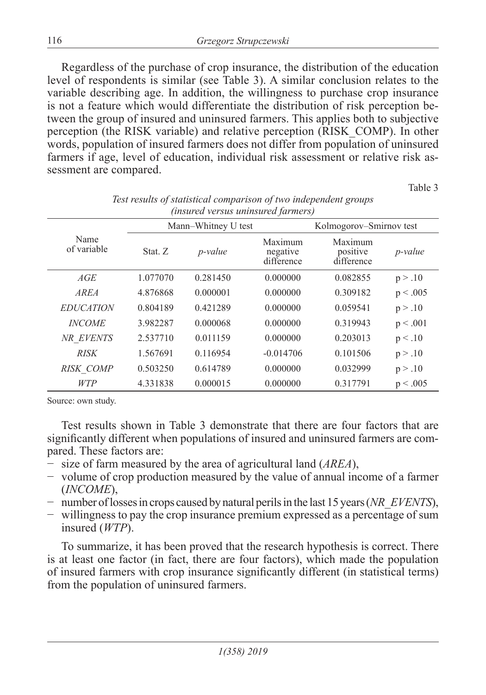Regardless of the purchase of crop insurance, the distribution of the education level of respondents is similar (see Table 3). A similar conclusion relates to the variable describing age. In addition, the willingness to purchase crop insurance is not a feature which would differentiate the distribution of risk perception between the group of insured and uninsured farmers. This applies both to subjective perception (the RISK variable) and relative perception (RISK\_COMP). In other words, population of insured farmers does not differ from population of uninsured farmers if age, level of education, individual risk assessment or relative risk assessment are compared.

Table 3

|                     |          | Mann-Whitney U test |                                   | Kolmogorov–Smirnov test           |                 |
|---------------------|----------|---------------------|-----------------------------------|-----------------------------------|-----------------|
| Name<br>of variable | Stat. Z  | <i>p</i> -value     | Maximum<br>negative<br>difference | Maximum<br>positive<br>difference | <i>p</i> -value |
| AGE                 | 1.077070 | 0.281450            | 0.000000                          | 0.082855                          | p > .10         |
| <b>AREA</b>         | 4.876868 | 0.000001            | 0.000000                          | 0.309182                          | p < .005        |
| <b>EDUCATION</b>    | 0.804189 | 0.421289            | 0.000000                          | 0.059541                          | p > .10         |
| <b>INCOME</b>       | 3.982287 | 0.000068            | 0.000000                          | 0.319943                          | p < .001        |
| NR EVENTS           | 2.537710 | 0.011159            | 0.000000                          | 0.203013                          | p < .10         |
| <b>RISK</b>         | 1.567691 | 0.116954            | $-0.014706$                       | 0.101506                          | p > .10         |
| <b>RISK COMP</b>    | 0.503250 | 0.614789            | 0.000000                          | 0.032999                          | p > .10         |
| <b>WTP</b>          | 4.331838 | 0.000015            | 0.000000                          | 0.317791                          | p < .005        |

*Test results of statistical comparison of two independent groups (insured versus uninsured farmers)*

Source: own study.

Test results shown in Table 3 demonstrate that there are four factors that are significantly different when populations of insured and uninsured farmers are compared. These factors are:

- − size of farm measured by the area of agricultural land (*AREA*),
- − volume of crop production measured by the value of annual income of a farmer (*INCOME*),
- − number of losses in crops caused by natural perils in the last 15 years (*NR\_EVENTS*),
- − willingness to pay the crop insurance premium expressed as a percentage of sum insured (*WTP*).

To summarize, it has been proved that the research hypothesis is correct. There is at least one factor (in fact, there are four factors), which made the population of insured farmers with crop insurance significantly different (in statistical terms) from the population of uninsured farmers.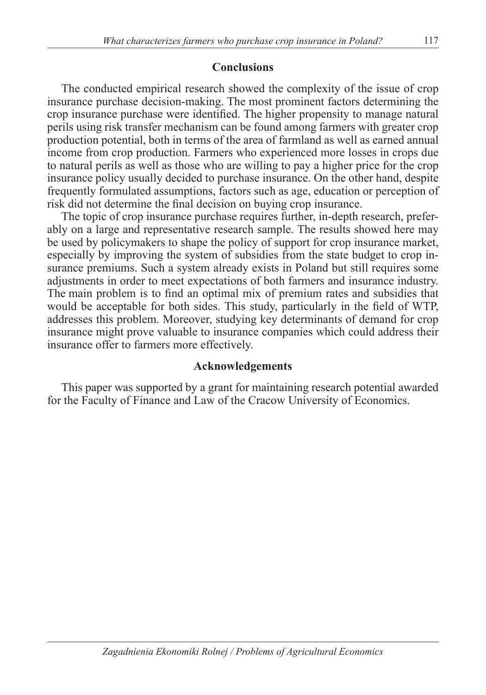### **Conclusions**

The conducted empirical research showed the complexity of the issue of crop insurance purchase decision-making. The most prominent factors determining the crop insurance purchase were identified. The higher propensity to manage natural perils using risk transfer mechanism can be found among farmers with greater crop production potential, both in terms of the area of farmland as well as earned annual income from crop production. Farmers who experienced more losses in crops due to natural perils as well as those who are willing to pay a higher price for the crop insurance policy usually decided to purchase insurance. On the other hand, despite frequently formulated assumptions, factors such as age, education or perception of risk did not determine the final decision on buying crop insurance.

The topic of crop insurance purchase requires further, in-depth research, preferably on a large and representative research sample. The results showed here may be used by policymakers to shape the policy of support for crop insurance market, especially by improving the system of subsidies from the state budget to crop insurance premiums. Such a system already exists in Poland but still requires some adjustments in order to meet expectations of both farmers and insurance industry. The main problem is to find an optimal mix of premium rates and subsidies that would be acceptable for both sides. This study, particularly in the field of WTP, addresses this problem. Moreover, studying key determinants of demand for crop insurance might prove valuable to insurance companies which could address their insurance offer to farmers more effectively.

### **Acknowledgements**

This paper was supported by a grant for maintaining research potential awarded for the Faculty of Finance and Law of the Cracow University of Economics.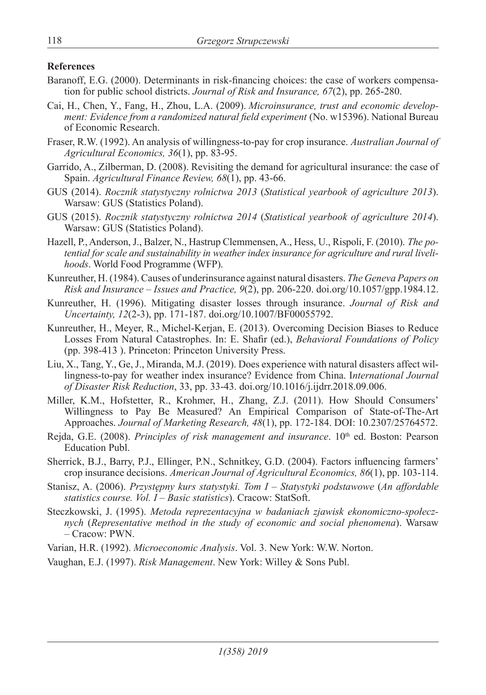#### **References**

- Baranoff, E.G. (2000). Determinants in risk-financing choices: the case of workers compensation for public school districts. *Journal of Risk and Insurance, 67*(2), pp. 265-280.
- Cai, H., Chen, Y., Fang, H., Zhou, L.A. (2009). *Microinsurance, trust and economic development: Evidence from a randomized natural field experiment* (No. w15396). National Bureau of Economic Research.
- Fraser, R.W. (1992). An analysis of willingness-to-pay for crop insurance. *Australian Journal of Agricultural Economics, 36*(1), pp. 83-95.
- Garrido, A., Zilberman, D. (2008). Revisiting the demand for agricultural insurance: the case of Spain. *Agricultural Finance Review, 68*(1), pp. 43-66.
- GUS (2014). *Rocznik statystyczny rolnictwa 2013* (*Statistical yearbook of agriculture 2013*). Warsaw: GUS (Statistics Poland).
- GUS (2015). *Rocznik statystyczny rolnictwa 2014* (*Statistical yearbook of agriculture 2014*). Warsaw: GUS (Statistics Poland).
- Hazell, P., Anderson, J., Balzer, N., Hastrup Clemmensen, A., Hess, U., Rispoli, F. (2010). *The potential for scale and sustainability in weather index insurance for agriculture and rural livelihoods*. World Food Programme (WFP).
- Kunreuther, H. (1984). Causes of underinsurance against natural disasters. *The Geneva Papers on Risk and Insurance – Issues and Practice, 9*(2), pp. 206-220. doi.org/10.1057/gpp.1984.12.
- Kunreuther, H. (1996). Mitigating disaster losses through insurance. *Journal of Risk and Uncertainty, 12*(2-3), pp. 171-187. doi.org/10.1007/BF00055792.
- Kunreuther, H., Meyer, R., Michel-Kerjan, E. (2013). Overcoming Decision Biases to Reduce Losses From Natural Catastrophes. In: E. Shafir (ed.), *Behavioral Foundations of Policy* (pp. 398-413 ). Princeton: Princeton University Press.
- Liu, X., Tang, Y., Ge, J., Miranda, M.J. (2019). Does experience with natural disasters affect willingness-to-pay for weather index insurance? Evidence from China. I*nternational Journal of Disaster Risk Reduction*, 33, pp. 33-43. doi.org/10.1016/j.ijdrr.2018.09.006.
- Miller, K.M., Hofstetter, R., Krohmer, H., Zhang, Z.J. (2011). How Should Consumers' Willingness to Pay Be Measured? An Empirical Comparison of State-of-The-Art Approaches. *Journal of Marketing Research, 48*(1), pp. 172-184. DOI: 10.2307/25764572.
- Rejda, G.E. (2008). *Principles of risk management and insurance*. 10<sup>th</sup> ed. Boston: Pearson Education Publ.
- Sherrick, B.J., Barry, P.J., Ellinger, P.N., Schnitkey, G.D. (2004). Factors influencing farmers' crop insurance decisions. *American Journal of Agricultural Economics, 86*(1), pp. 103-114.
- Stanisz, A. (2006). *Przystępny kurs statystyki. Tom I Statystyki podstawowe* (*An affordable statistics course. Vol. I – Basic statistics*). Cracow: StatSoft.
- Steczkowski, J. (1995). *Metoda reprezentacyjna w badaniach zjawisk ekonomiczno-społecznych* (*Representative method in the study of economic and social phenomena*). Warsaw *–* Cracow: PWN.
- Varian, H.R. (1992). *Microeconomic Analysis*. Vol. 3. New York: W.W. Norton.

Vaughan, E.J. (1997). *Risk Management*. New York: Willey & Sons Publ.